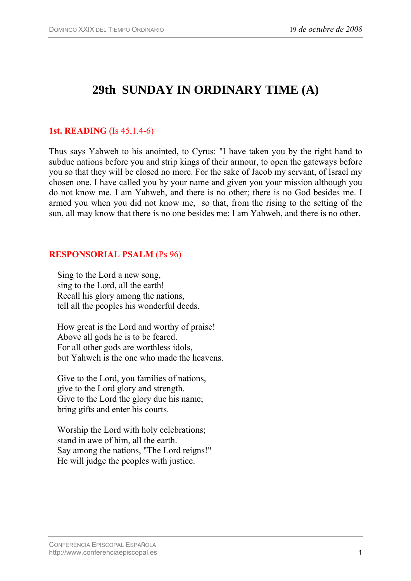# **29th SUNDAY IN ORDINARY TIME (A)**

## **1st. READING** (Is 45,1.4-6)

Thus says Yahweh to his anointed, to Cyrus: "I have taken you by the right hand to subdue nations before you and strip kings of their armour, to open the gateways before you so that they will be closed no more. For the sake of Jacob my servant, of Israel my chosen one, I have called you by your name and given you your mission although you do not know me. I am Yahweh, and there is no other; there is no God besides me. I armed you when you did not know me, so that, from the rising to the setting of the sun, all may know that there is no one besides me; I am Yahweh, and there is no other.

#### **RESPONSORIAL PSALM** (Ps 96)

Sing to the Lord a new song, sing to the Lord, all the earth! Recall his glory among the nations, tell all the peoples his wonderful deeds.

How great is the Lord and worthy of praise! Above all gods he is to be feared. For all other gods are worthless idols, but Yahweh is the one who made the heavens.

Give to the Lord, you families of nations, give to the Lord glory and strength. Give to the Lord the glory due his name; bring gifts and enter his courts.

Worship the Lord with holy celebrations; stand in awe of him, all the earth. Say among the nations, "The Lord reigns!" He will judge the peoples with justice.